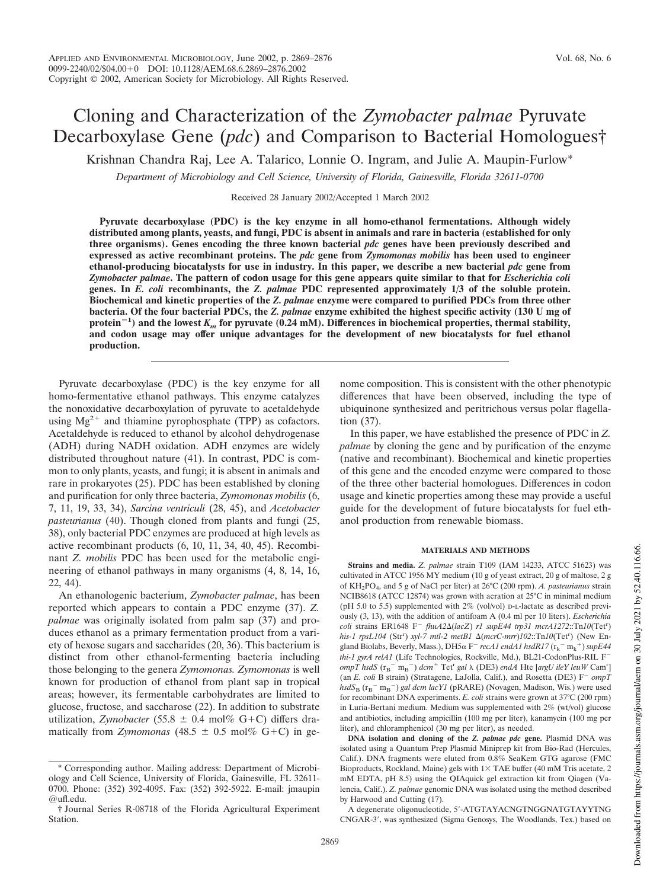# Cloning and Characterization of the *Zymobacter palmae* Pyruvate Decarboxylase Gene (*pdc*) and Comparison to Bacterial Homologues†

Krishnan Chandra Raj, Lee A. Talarico, Lonnie O. Ingram, and Julie A. Maupin-Furlow\*

*Department of Microbiology and Cell Science, University of Florida, Gainesville, Florida 32611-0700*

Received 28 January 2002/Accepted 1 March 2002

**Pyruvate decarboxylase (PDC) is the key enzyme in all homo-ethanol fermentations. Although widely distributed among plants, yeasts, and fungi, PDC is absent in animals and rare in bacteria (established for only three organisms). Genes encoding the three known bacterial** *pdc* **genes have been previously described and expressed as active recombinant proteins. The** *pdc* **gene from** *Zymomonas mobilis* **has been used to engineer ethanol-producing biocatalysts for use in industry. In this paper, we describe a new bacterial** *pdc* **gene from** *Zymobacter palmae***. The pattern of codon usage for this gene appears quite similar to that for** *Escherichia coli* **genes. In** *E. coli* **recombinants, the** *Z. palmae* **PDC represented approximately 1/3 of the soluble protein. Biochemical and kinetic properties of the** *Z. palmae* **enzyme were compared to purified PDCs from three other bacteria. Of the four bacterial PDCs, the** *Z. palmae* **enzyme exhibited the highest specific activity (130 U mg of** protein<sup>-1</sup>) and the lowest  $K_m$  for pyruvate (0.24 mM). Differences in biochemical properties, thermal stability, **and codon usage may offer unique advantages for the development of new biocatalysts for fuel ethanol production.**

Pyruvate decarboxylase (PDC) is the key enzyme for all homo-fermentative ethanol pathways. This enzyme catalyzes the nonoxidative decarboxylation of pyruvate to acetaldehyde using  $Mg^{2+}$  and thiamine pyrophosphate (TPP) as cofactors. Acetaldehyde is reduced to ethanol by alcohol dehydrogenase (ADH) during NADH oxidation. ADH enzymes are widely distributed throughout nature (41). In contrast, PDC is common to only plants, yeasts, and fungi; it is absent in animals and rare in prokaryotes (25). PDC has been established by cloning and purification for only three bacteria, *Zymomonas mobilis* (6, 7, 11, 19, 33, 34), *Sarcina ventriculi* (28, 45), and *Acetobacter pasteurianus* (40). Though cloned from plants and fungi (25, 38), only bacterial PDC enzymes are produced at high levels as active recombinant products (6, 10, 11, 34, 40, 45). Recombinant *Z. mobilis* PDC has been used for the metabolic engineering of ethanol pathways in many organisms (4, 8, 14, 16, 22, 44).

An ethanologenic bacterium, *Zymobacter palmae*, has been reported which appears to contain a PDC enzyme (37). *Z. palmae* was originally isolated from palm sap (37) and produces ethanol as a primary fermentation product from a variety of hexose sugars and saccharides (20, 36). This bacterium is distinct from other ethanol-fermenting bacteria including those belonging to the genera *Zymomonas. Zymomonas* is well known for production of ethanol from plant sap in tropical areas; however, its fermentable carbohydrates are limited to glucose, fructose, and saccharose (22). In addition to substrate utilization, *Zymobacter* (55.8  $\pm$  0.4 mol% G+C) differs dramatically from *Zymomonas*  $(48.5 \pm 0.5 \text{ mol\% G+C})$  in genome composition. This is consistent with the other phenotypic differences that have been observed, including the type of ubiquinone synthesized and peritrichous versus polar flagellation (37).

In this paper, we have established the presence of PDC in *Z. palmae* by cloning the gene and by purification of the enzyme (native and recombinant). Biochemical and kinetic properties of this gene and the encoded enzyme were compared to those of the three other bacterial homologues. Differences in codon usage and kinetic properties among these may provide a useful guide for the development of future biocatalysts for fuel ethanol production from renewable biomass.

#### **MATERIALS AND METHODS**

**Strains and media.** *Z. palmae* strain T109 (IAM 14233, ATCC 51623) was cultivated in ATCC 1956 MY medium (10 g of yeast extract, 20 g of maltose, 2 g of KH2PO<sup>4</sup> , and 5 g of NaCl per liter) at 26°C (200 rpm). *A. pasteurianus* strain NCIB8618 (ATCC 12874) was grown with aeration at 25°C in minimal medium (pH 5.0 to 5.5) supplemented with 2% (vol/vol) D-L-lactate as described previously (3, 13), with the addition of antifoam A (0.4 ml per 10 liters). *Escherichia*  $\frac{1}{2}$  coli strains ER1648 F<sup>-</sup>  $\frac{f}{h}uA2\Delta(lacZ)$  *r1 supE44 trp31 mcrA1272*::Tn*10*(Tet<sup>r</sup>) *his-1 rpsL104* (Str<sup>r</sup>) *xyl-7 mtl-2 metB1* Δ(*mcrC-mrr*)*102*::Tn*10*(Tet<sup>r</sup>) (New England Biolabs, Beverly, Mass.), DH5 $\alpha$  F<sup> $-$ </sup> *recA1 endA1 hsdR17* ( $\rm{r_{k}}^{\rm{-}}$   $\rm{m_{k}}^{\rm{+}}$ )  $supE44$ *thi-1 gyrA relA1* (Life Technologies, Rockville, Md.), BL21-CodonPlus-RIL F  $ompT$  *hsdS*  $(r_B - m_B^-)$  *dcm*<sup>+</sup>  $Tet^r$  *gal*  $\lambda$  (DE3) *endA* Hte [*argU ileY leuW* Cam<sup>r</sup>] (an *E. coli* B strain) (Stratagene, LaJolla, Calif.), and Rosetta (DE3) F<sup>*-</sup> ompT*</sup>  $hsdS_B$  ( $r_B$ <sup>-</sup> m<sub>B</sub><sup>-</sup>) *gal dcm lacY1* (pRARE) (Novagen, Madison, Wis.) were used for recombinant DNA experiments. *E. coli* strains were grown at 37°C (200 rpm) in Luria-Bertani medium. Medium was supplemented with 2% (wt/vol) glucose and antibiotics, including ampicillin (100 mg per liter), kanamycin (100 mg per liter), and chloramphenicol (30 mg per liter), as needed.

**DNA isolation and cloning of the** *Z. palmae pdc* **gene.** Plasmid DNA was isolated using a Quantum Prep Plasmid Miniprep kit from Bio-Rad (Hercules, Calif.). DNA fragments were eluted from 0.8% SeaKem GTG agarose (FMC Bioproducts, Rockland, Maine) gels with  $1 \times$  TAE buffer (40 mM Tris acetate, 2 mM EDTA, pH 8.5) using the QIAquick gel extraction kit from Qiagen (Valencia, Calif.). *Z. palmae* genomic DNA was isolated using the method described by Harwood and Cutting (17).

A degenerate oligonucleotide, 5-ATGTAYACNGTNGGNATGTAYYTNG CNGAR-3', was synthesized (Sigma Genosys, The Woodlands, Tex.) based on

<sup>\*</sup> Corresponding author. Mailing address: Department of Microbiology and Cell Science, University of Florida, Gainesville, FL 32611- 0700. Phone: (352) 392-4095. Fax: (352) 392-5922. E-mail: jmaupin  $\omega$ ufledu.

<sup>†</sup> Journal Series R-08718 of the Florida Agricultural Experiment Station.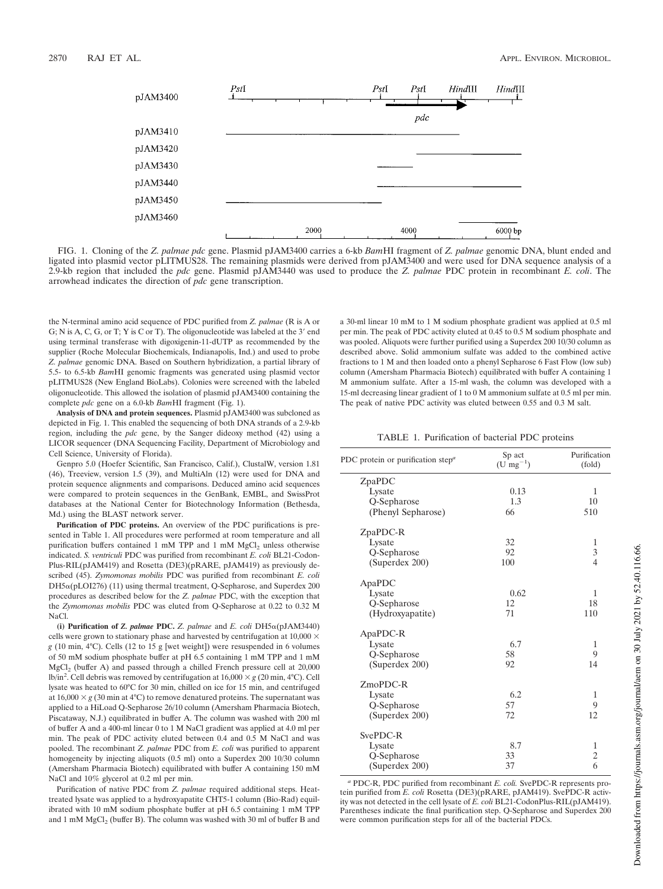

FIG. 1. Cloning of the *Z. palmae pdc* gene. Plasmid pJAM3400 carries a 6-kb *Bam*HI fragment of *Z. palmae* genomic DNA, blunt ended and ligated into plasmid vector pLITMUS28. The remaining plasmids were derived from pJAM3400 and were used for DNA sequence analysis of a 2.9-kb region that included the *pdc* gene. Plasmid pJAM3440 was used to produce the *Z. palmae* PDC protein in recombinant *E. coli*. The arrowhead indicates the direction of *pdc* gene transcription.

the N-terminal amino acid sequence of PDC purified from *Z. palmae* (R is A or G; N is A, C, G, or T; Y is C or T). The oligonucleotide was labeled at the  $3'$  end using terminal transferase with digoxigenin-11-dUTP as recommended by the supplier (Roche Molecular Biochemicals, Indianapolis, Ind.) and used to probe *Z. palmae* genomic DNA. Based on Southern hybridization, a partial library of 5.5- to 6.5-kb *Bam*HI genomic fragments was generated using plasmid vector pLITMUS28 (New England BioLabs). Colonies were screened with the labeled oligonucleotide. This allowed the isolation of plasmid pJAM3400 containing the complete *pdc* gene on a 6.0-kb *Bam*HI fragment (Fig. 1).

**Analysis of DNA and protein sequences.** Plasmid pJAM3400 was subcloned as depicted in Fig. 1. This enabled the sequencing of both DNA strands of a 2.9-kb region, including the *pdc* gene, by the Sanger dideoxy method (42) using a LICOR sequencer (DNA Sequencing Facility, Department of Microbiology and Cell Science, University of Florida).

Genpro 5.0 (Hoefer Scientific, San Francisco, Calif.), ClustalW, version 1.81 (46), Treeview, version 1.5 (39), and MultiAln (12) were used for DNA and protein sequence alignments and comparisons. Deduced amino acid sequences were compared to protein sequences in the GenBank, EMBL, and SwissProt databases at the National Center for Biotechnology Information (Bethesda, Md.) using the BLAST network server.

**Purification of PDC proteins.** An overview of the PDC purifications is presented in Table 1. All procedures were performed at room temperature and all purification buffers contained 1 mM TPP and 1 mM  $MgCl<sub>2</sub>$  unless otherwise indicated. *S. ventriculi* PDC was purified from recombinant *E. coli* BL21-Codon-Plus-RIL(pJAM419) and Rosetta (DE3)(pRARE, pJAM419) as previously described (45). *Zymomonas mobilis* PDC was purified from recombinant *E. coli*  $DH5\alpha(pLOI276)$  (11) using thermal treatment, Q-Sepharose, and Superdex 200 procedures as described below for the *Z. palmae* PDC, with the exception that the *Zymomonas mobilis* PDC was eluted from Q-Sepharose at 0.22 to 0.32 M NaCl.

(i) Purification of *Z. palmae* PDC. *Z. palmae* and *E. coli*  $DH5\alpha(pJAM3440)$ cells were grown to stationary phase and harvested by centrifugation at  $10,000 \times$ *g* (10 min, 4°C). Cells (12 to 15 g [wet weight]) were resuspended in 6 volumes of 50 mM sodium phosphate buffer at pH 6.5 containing 1 mM TPP and 1 mM  $MgCl<sub>2</sub>$  (buffer A) and passed through a chilled French pressure cell at 20,000 lb/in<sup>2</sup>. Cell debris was removed by centrifugation at  $16,000 \times g$  (20 min, 4°C). Cell lysate was heated to 60°C for 30 min, chilled on ice for 15 min, and centrifuged at  $16,000 \times g$  (30 min at 4°C) to remove denatured proteins. The supernatant was applied to a HiLoad Q-Sepharose 26/10 column (Amersham Pharmacia Biotech, Piscataway, N.J.) equilibrated in buffer A. The column was washed with 200 ml of buffer A and a 400-ml linear 0 to 1 M NaCl gradient was applied at 4.0 ml per min. The peak of PDC activity eluted between 0.4 and 0.5 M NaCl and was pooled. The recombinant *Z. palmae* PDC from *E. coli* was purified to apparent homogeneity by injecting aliquots (0.5 ml) onto a Superdex 200 10/30 column (Amersham Pharmacia Biotech) equilibrated with buffer A containing 150 mM NaCl and 10% glycerol at 0.2 ml per min.

Purification of native PDC from *Z. palmae* required additional steps. Heattreated lysate was applied to a hydroxyapatite CHT5-1 column (Bio-Rad) equilibrated with 10 mM sodium phosphate buffer at pH 6.5 containing 1 mM TPP and 1 mM  ${ {\rm MgCl}_2}$  (buffer B). The column was washed with 30 ml of buffer B and

a 30-ml linear 10 mM to 1 M sodium phosphate gradient was applied at 0.5 ml per min. The peak of PDC activity eluted at 0.45 to 0.5 M sodium phosphate and was pooled. Aliquots were further purified using a Superdex 200 10/30 column as described above. Solid ammonium sulfate was added to the combined active fractions to 1 M and then loaded onto a phenyl Sepharose 6 Fast Flow (low sub) column (Amersham Pharmacia Biotech) equilibrated with buffer A containing 1 M ammonium sulfate. After a 15-ml wash, the column was developed with a 15-ml decreasing linear gradient of 1 to 0 M ammonium sulfate at 0.5 ml per min. The peak of native PDC activity was eluted between 0.55 and 0.3 M salt.

TABLE 1. Purification of bacterial PDC proteins

| PDC protein or purification step <sup>a</sup> | Sp act<br>$(U \, mg^{-1})$ | Purification<br>(fold)  |
|-----------------------------------------------|----------------------------|-------------------------|
| ZpaPDC                                        |                            |                         |
| Lysate                                        | 0.13                       | 1                       |
| Q-Sepharose                                   | 1.3                        | 10                      |
| (Phenyl Sepharose)                            | 66                         | 510                     |
| ZpaPDC-R                                      |                            |                         |
| Lysate                                        | 32                         | 1                       |
| Q-Sepharose                                   | 92                         | 3                       |
| (Superdex 200)                                | 100                        | $\overline{4}$          |
| ApaPDC                                        |                            |                         |
| Lysate                                        | 0.62                       | 1                       |
| Q-Sepharose                                   | 12                         | 18                      |
| (Hydroxyapatite)                              | 71                         | 110                     |
| ApaPDC-R                                      |                            |                         |
| Lysate                                        | 6.7                        | 1                       |
| Q-Sepharose                                   | 58                         | 9                       |
| (Superdex 200)                                | 92                         | 14                      |
| ZmoPDC-R                                      |                            |                         |
| Lysate                                        | 6.2                        | 1                       |
| Q-Sepharose                                   | 57                         | 9                       |
| (Superdex 200)                                | 72                         | 12                      |
| SvePDC-R                                      |                            |                         |
| Lysate                                        | 8.7                        | 1                       |
| Q-Sepharose                                   | 33                         | $\overline{\mathbf{c}}$ |
| (Superdex 200)                                | 37                         | 6                       |
|                                               |                            |                         |

*<sup>a</sup>* PDC-R, PDC purified from recombinant *E. coli.* SvePDC-R represents protein purified from *E. coli* Rosetta (DE3)(pRARE, pJAM419). SvePDC-R activity was not detected in the cell lysate of *E. coli* BL21-CodonPlus-RIL(pJAM419). Parentheses indicate the final purification step. Q-Sepharose and Superdex 200 were common purification steps for all of the bacterial PDCs.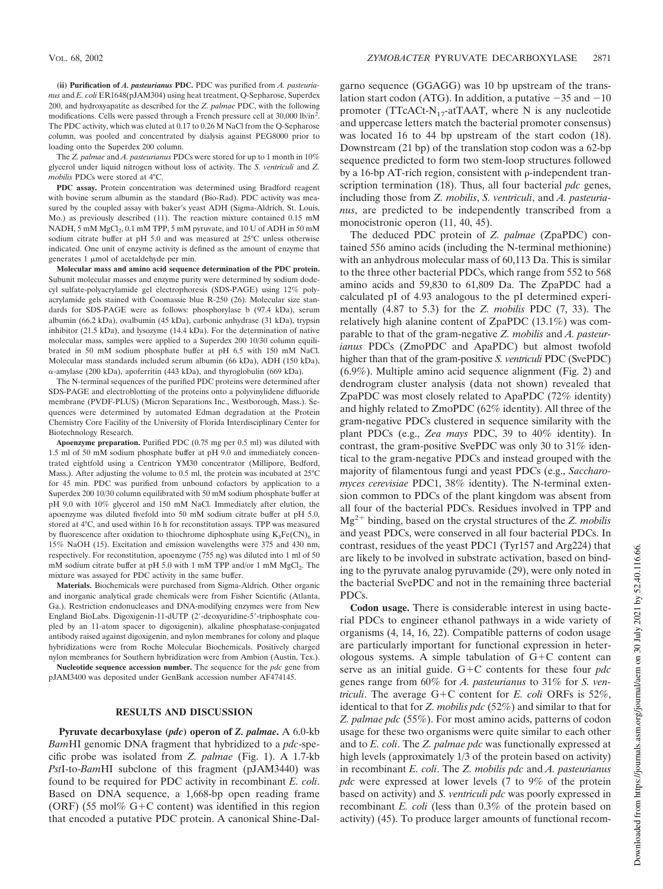**(ii) Purification of** *A. pasteurianus* **PDC.** PDC was purified from *A. pasteurianus* and *E. coli* ER1648(pJAM304) using heat treatment, Q-Sepharose, Superdex 200, and hydroxyapatite as described for the *Z. palmae* PDC, with the following modifications. Cells were passed through a French pressure cell at 30,000 lb/in<sup>2</sup> . The PDC activity, which was eluted at 0.17 to 0.26 M NaCl from the Q-Sepharose column, was pooled and concentrated by dialysis against PEG8000 prior to loading onto the Superdex 200 column.

The *Z. palmae* and *A. pasteurianus* PDCs were stored for up to 1 month in 10% glycerol under liquid nitrogen without loss of activity. The *S. ventriculi* and *Z. mobilis* PDCs were stored at 4°C.

**PDC assay.** Protein concentration was determined using Bradford reagent with bovine serum albumin as the standard (Bio-Rad). PDC activity was measured by the coupled assay with baker's yeast ADH (Sigma-Aldrich, St. Louis, Mo.) as previously described (11). The reaction mixture contained 0.15 mM NADH, 5 mM  $MgCl<sub>2</sub>$ , 0.1 mM TPP, 5 mM pyruvate, and 10 U of ADH in 50 mM sodium citrate buffer at pH 5.0 and was measured at 25°C unless otherwise indicated. One unit of enzyme activity is defined as the amount of enzyme that generates  $1 \mu$ mol of acetaldehyde per min.

**Molecular mass and amino acid sequence determination of the PDC protein.** Subunit molecular masses and enzyme purity were determined by sodium dodecyl sulfate-polyacrylamide gel electrophoresis (SDS-PAGE) using 12% polyacrylamide gels stained with Coomassie blue R-250 (26). Molecular size standards for SDS-PAGE were as follows: phosphorylase b (97.4 kDa), serum albumin (66.2 kDa), ovalbumin (45 kDa), carbonic anhydrase (31 kDa), trypsin inhibitor (21.5 kDa), and lysozyme (14.4 kDa). For the determination of native molecular mass, samples were applied to a Superdex 200 10/30 column equilibrated in 50 mM sodium phosphate buffer at pH 6.5 with 150 mM NaCl. Molecular mass standards included serum albumin (66 kDa), ADH (150 kDa), -amylase (200 kDa), apoferritin (443 kDa), and thyroglobulin (669 kDa).

The N-terminal sequences of the purified PDC proteins were determined after SDS-PAGE and electroblotting of the proteins onto a polyvinylidene difluoride membrane (PVDF-PLUS) (Micron Separations Inc., Westborough, Mass.). Sequences were determined by automated Edman degradation at the Protein Chemistry Core Facility of the University of Florida Interdisciplinary Center for Biotechnology Research.

**Apoenzyme preparation.** Purified PDC (0.75 mg per 0.5 ml) was diluted with 1.5 ml of 50 mM sodium phosphate buffer at pH 9.0 and immediately concentrated eightfold using a Centricon YM30 concentrator (Millipore, Bedford, Mass.). After adjusting the volume to 0.5 ml, the protein was incubated at 25°C for 45 min. PDC was purified from unbound cofactors by application to a Superdex 200 10/30 column equilibrated with 50 mM sodium phosphate buffer at pH 9.0 with 10% glycerol and 150 mM NaCl. Immediately after elution, the apoenzyme was diluted fivefold into 50 mM sodium citrate buffer at pH 5.0, stored at 4°C, and used within 16 h for reconstitution assays. TPP was measured by fluorescence after oxidation to thiochrome diphosphate using  $K_3Fe(CN)_6$  in 15% NaOH (15). Excitation and emission wavelengths were 375 and 430 nm, respectively. For reconstitution, apoenzyme (755 ng) was diluted into 1 ml of 50 mM sodium citrate buffer at pH 5.0 with 1 mM TPP and/or 1 mM MgCl<sub>2</sub>. The mixture was assayed for PDC activity in the same buffer.

**Materials.** Biochemicals were purchased from Sigma-Aldrich. Other organic and inorganic analytical grade chemicals were from Fisher Scientific (Atlanta, Ga.). Restriction endonucleases and DNA-modifying enzymes were from New England BioLabs. Digoxigenin-11-dUTP (2-deoxyuridine-5-triphosphate coupled by an 11-atom spacer to digoxigenin), alkaline phosphatase-conjugated antibody raised against digoxigenin, and nylon membranes for colony and plaque hybridizations were from Roche Molecular Biochemicals. Positively charged nylon membranes for Southern hybridization were from Ambion (Austin, Tex.).

**Nucleotide sequence accession number.** The sequence for the *pdc* gene from pJAM3400 was deposited under GenBank accession number AF474145.

### **RESULTS AND DISCUSSION**

**Pyruvate decarboxylase (***pdc***) operon of** *Z. palmae***.** A 6.0-kb *Bam*HI genomic DNA fragment that hybridized to a *pdc*-specific probe was isolated from *Z. palmae* (Fig. 1). A 1.7-kb *Pst*I-to-*Bam*HI subclone of this fragment (pJAM3440) was found to be required for PDC activity in recombinant *E. coli*. Based on DNA sequence, a 1,668-bp open reading frame (ORF) (55 mol% G+C content) was identified in this region that encoded a putative PDC protein. A canonical Shine-Dal-

garno sequence (GGAGG) was 10 bp upstream of the translation start codon (ATG). In addition, a putative  $-35$  and  $-10$ promoter (TTcACt-N<sub>17</sub>-atTAAT, where N is any nucleotide and uppercase letters match the bacterial promoter consensus) was located 16 to 44 bp upstream of the start codon (18). Downstream (21 bp) of the translation stop codon was a 62-bp sequence predicted to form two stem-loop structures followed by a 16-bp AT-rich region, consistent with  $\rho$ -independent transcription termination (18). Thus, all four bacterial *pdc* genes, including those from *Z. mobilis*, *S. ventriculi*, and *A. pasteurianus*, are predicted to be independently transcribed from a monocistronic operon  $(11, 40, 45)$ .

The deduced PDC protein of *Z. palmae* (ZpaPDC) contained 556 amino acids (including the N-terminal methionine) with an anhydrous molecular mass of 60,113 Da. This is similar to the three other bacterial PDCs, which range from 552 to 568 amino acids and 59,830 to 61,809 Da. The ZpaPDC had a calculated pI of 4.93 analogous to the pI determined experimentally (4.87 to 5.3) for the *Z. mobilis* PDC (7, 33). The relatively high alanine content of ZpaPDC (13.1%) was comparable to that of the gram-negative *Z. mobilis* and *A. pasteurianus* PDCs (ZmoPDC and ApaPDC) but almost twofold higher than that of the gram-positive *S. ventriculi* PDC (SvePDC) (6.9%). Multiple amino acid sequence alignment (Fig. 2) and dendrogram cluster analysis (data not shown) revealed that ZpaPDC was most closely related to ApaPDC (72% identity) and highly related to ZmoPDC (62% identity). All three of the gram-negative PDCs clustered in sequence similarity with the plant PDCs (e.g., *Zea mays* PDC, 39 to 40% identity). In contrast, the gram-positive SvePDC was only 30 to 31% identical to the gram-negative PDCs and instead grouped with the majority of filamentous fungi and yeast PDCs (e.g., *Saccharomyces cerevisiae* PDC1, 38% identity). The N-terminal extension common to PDCs of the plant kingdom was absent from all four of the bacterial PDCs. Residues involved in TPP and Mg2 binding, based on the crystal structures of the *Z. mobilis* and yeast PDCs, were conserved in all four bacterial PDCs. In contrast, residues of the yeast PDC1 (Tyr157 and Arg224) that are likely to be involved in substrate activation, based on binding to the pyruvate analog pyruvamide (29), were only noted in the bacterial SvePDC and not in the remaining three bacterial PDCs.

**Codon usage.** There is considerable interest in using bacterial PDCs to engineer ethanol pathways in a wide variety of organisms (4, 14, 16, 22). Compatible patterns of codon usage are particularly important for functional expression in heterologous systems. A simple tabulation of  $G+C$  content can serve as an initial guide.  $G + C$  contents for these four  $pdc$ genes range from 60% for *A. pasteurianus* to 31% for *S. ventriculi*. The average  $G + C$  content for *E. coli* ORFs is 52%, identical to that for *Z. mobilis pdc* (52%) and similar to that for *Z. palmae pdc* (55%). For most amino acids, patterns of codon usage for these two organisms were quite similar to each other and to *E. coli*. The *Z. palmae pdc* was functionally expressed at high levels (approximately 1/3 of the protein based on activity) in recombinant *E. coli*. The *Z. mobilis pdc* and *A. pasteurianus pdc* were expressed at lower levels (7 to 9% of the protein based on activity) and *S. ventriculi pdc* was poorly expressed in recombinant *E. coli* (less than 0.3% of the protein based on activity) (45). To produce larger amounts of functional recom-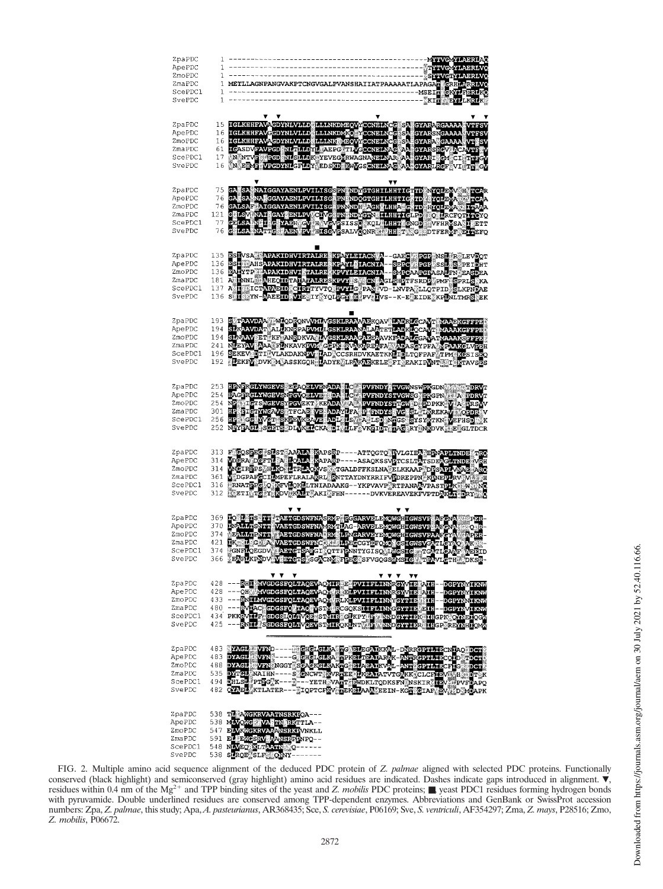| ZpaPDC<br>ApePDC<br>ZmoPDC<br>ZmaPDC<br>ScePDC1<br>SvePDC        | $\mathbf{1}$                       | 1 METLLAGNPANGVAKPTCNGVGALPVANSHAIIATPAAAAATLAPAGADEERRERRAVG                                                                                                                                                                                                                                                                                                                                                                                                                                                        |
|------------------------------------------------------------------|------------------------------------|----------------------------------------------------------------------------------------------------------------------------------------------------------------------------------------------------------------------------------------------------------------------------------------------------------------------------------------------------------------------------------------------------------------------------------------------------------------------------------------------------------------------|
| ZpaPDC<br>ApePDC<br>ZmoPDC<br>ZmaPDC<br>ScePDC1<br>SvePDC        | 15.<br>16<br>16<br>61.<br>17<br>16 | IGLKHHFAVAGDYNLVLLDOLLLNKDMEQVYCCNBLNCG SA GYARARGAAAA WTFSV<br>IGLKHHFAVGGDYNLVLLDOLLLNKDMKQLYCCNBLNCG SA GYARSNGAAAA WTFSV<br>IGLKHHFAVAGDYNLVLLDOLLLNKNMEQVYCCNBLNCG SA GYARARGAAAA WTFSV<br>IGASDVFAVPGDYNLVLLDOLLLNKNMEQVYCCNBLNAG<br>N EIME VPGDYNIGFLDY EDSKD EWVGSGNBLNAG AARGYARIRGF VIETILGV                                                                                                                                                                                                               |
| ZpaPDC<br>ApePDC<br>ZmoPDC<br>ZmaPDC<br>ScePDC1<br>SvePDC        | 75<br>76<br>76<br>121<br>77<br>76. | GA SANAALGGAYAENLEVILISGSPN INDYGTGHILHHTICTID NYOLEWYSH TGAR<br>GALSANAALGGAYAENLEVILISG PNENDOGTGHILHHTICHTD NYOLEWAROVTGAA<br>GALSANAALGGAYAENLEVILISG PNENDYGHILHHTICHTD GOLPODARGITTA<br>GELSANAALTGAYAENLEVICHYGHYSHSOROLLHHTICHT                                                                                                                                                                                                                                                                              |
| ZpaPDC<br>ApePDC<br>ZmoPDC<br>ZmaPDC<br>ScePDC1<br>SvePDC        | 135<br>136                         | BSHVSA SAPAKIDHVIRTALRE KPAYLEIAON A -- GAEGY ROP NSL PSLEVDOT<br>BSHVAHSAPAKIDHVIRTALRE KPAYLEIAONIA -- SE <mark>EGY ROP SSL IS</mark> PEIDHT<br>136 EALYTP APAKIDHVIKTALREKKPVYLEIACNIA--SMPCAAPGPASALFN EASDEA<br>181 ALIANA SARECIDEALAPARISKEV ISK GN AGLERITESRDE PAT GERLSKA<br>181 ALIANA SARECIDEALAPARISKEV IG PAN VD-LNVPAČLLOTPIDŽELKPNDAE<br>136 S <u>PIS</u> TN- <mark>AABBID VDE</mark> SITKVOL <mark>GGLIB</mark> PVLIVS--K-ESEIDEŽKPINLTMRSVEK                                                      |
| ZpaPDC<br>ApePDC<br>ZmoPDC<br>ZmaPDC<br>ScePDC1<br>SvePDC        | 192                                | 193 STTRAVDAA TMLODRONVWWWSKLEAAAABKOAVNLADREGCAVT WAABKGFFPBD<br>194 SLMAAVDAT ALLKNRPAPWWLGSKLRAAMALAATETLADKLOCAVTHWAAKGFFPBD<br>194 SLMAAVPETLKETANRDKVAYLVGSKLRAAGABBAAVKEADALGGAVATMAAAKGFFPBB<br>241 NLEYAVFAAASELAKAVKEVMLGGPKL<br><b>LE</b> EKF <b>Y</b> DVK MASSKGQH LADYE LRYKYSKELE FINEAKIPYNT KITAVSES                                                                                                                                                                                                 |
| ZpaPDC<br>ApePDC<br>ZmoPDC<br>ZmaPDC<br>ScePDC1<br>SvePDC        | 253                                | HPNFRGLYWGEVS EGAOFLVENADA LC PVFNDY TVGWNSWPKGDN WALL TDRVT<br>253 HEADS CONVERVENCE DE AUGUST DE LA PORTA PROVINCIPAL DE LA PROPERTE DE LA PROPERTE DE LA PROPERTE DE LA PROPERTE DE LA PROPERTE DE LA PROPERTE DE LA PROPERTE DE LA PROPERTE DE LA PROPERTE DE LA PROPERTE DE LA PROPERTE D                                                                                                                                                                                                                       |
| ZpaPDC<br>ApePDC<br>ZmoPDC<br>ZmaPDC<br>ScePDC1<br>SvePDC        | 314<br>314<br>361<br>316<br>312    | 313 F <b>ootbee Shot aan Actuur</b> SapsRP----AttoGto Bvlgie <mark>n France (The State State)</mark><br>FRINGER FILM AND REAL EXPRESS TRANSPORTED TO THE REPORT OF THE REAL EXPRESS TRANSPORTED TO THE REAL EXPRESS TRANSPORTED TO THE REAL EXPRESS TRANSPORTED TO THE REAL EXPRESS TRANSPORTED TO THE REAL EXPRESS TRANSPORTED TO THE                                                                                                                                                                               |
| ZpaPDC<br>ApePDC<br>ZmoPDC<br>ZmaPDC<br>ScePDC1<br><b>PAGENC</b> | 369.<br>370.<br>374<br>421<br>374  | TO SPERS THE PASTCDSWENASRVP PGGARVELEMOWCHIGWSVP AFGNAMI<br>INALLISATIC VASTCDSWENAWRVPPAG=ARVELEMOWCHIGWSVP AFGNAMI<br>VPALLISATIC VASTCDSWENASRVPPAGEARVEYPMOWCHIGWSVPAAFGVAMI<br>IKSYL SOFFA VASTCDSWENCRIFERECGYPFOMOKCHIGWSVFATIG<br>্রাষ্ট্রস<br>o is-<br>Apor -<br>AR N<br><b>AEBID</b><br>366 <b>ŽEGRIKPNDV VEBRGTS SGLCNZER BE</b> SSFVGQGS <mark>ANSKGLER TRA</mark> VLGTHELDKSK-                                                                                                                         |
| ZpaPDC<br>ApePDC<br>ZmoPDC<br>ZmaPDC<br>ScePDC1<br>SvePDC        |                                    | <b>V V</b> V<br>V V V<br>$\mathbf{v}$<br>428 — - RHIMAVGDGSFOLTAOBVAOVIRNE PVIIFLINNRGYVIE PAIH - DGPYNYIKNW<br>428 — - QHYMVGDGSFOLTAOBVAOVIRNE PLPVIIFLINNRGYVIE PIH - DGPYNYIKNW<br>433 — - RN <mark>ILAVGDGSFOLTAOBVAOV</mark> IRLKLPVIIFLINNYGYTIE VAIH - DGPYNNIKNW<br>133 ---RNHAMOOSFOLHAOSVAON, REKLEVILEELINNSCYTLEVILLE-DGEYNNIKN<br>433 ---RNHAMOOSFOLHAOSVAON, REKLEVILEELINNSCYTLEVILLE-DGEYNNIKNN<br>434 PKKRVILLE GDGSEOLHAOSKONIRKGIKEYILEKINNSCYTLEVILLE-DGEYNVIKNN<br>434 PKKRVILLESGDGSEOLHVOEVS |
| ZpaPDC<br>ApePDC<br>ZmoPDC<br>ZmaPDC<br>ScePDC1<br>SvePDC        |                                    | 482 OVEEL KTLATER--- TOPTCFRV DEKELAAD EEIN-KGE GIAF BV OD MAAPK                                                                                                                                                                                                                                                                                                                                                                                                                                                     |
| ZpaPDC<br>ApePDC<br>ZmoPDC<br>ZmaPDC<br>ScePDC1<br>SvePDC        |                                    | 538 TL AWGKRVAATNSRKFOA---<br>538 MAVONG VA TN RKTILA--<br>547 E <mark>LVKWGKRVAAANSRKPVNKLL</mark><br>591 ELEENGSRV ANSRPENPQ--<br>548 NAVEQ KLTAATN Q------<br>538 SPROESLF ONNY-------                                                                                                                                                                                                                                                                                                                            |

FIG. 2. Multiple amino acid sequence alignment of the deduced PDC protein of *Z. palmae* aligned with selected PDC proteins. Functionally conserved (black highlight) and semiconserved (gray highlight) amino acid residues are indicated. Dashes indicate gaps introduced in alignment.  $\dot{\bullet}$ , residues within 0.4 nm of the Mg<sup>2+</sup> and TPP binding sites of the yeast and *Z. mobilis* PDC proteins; ■, yeast PDC1 residues forming hydrogen bonds with pyruvamide. Double underlined residues are conserved among TPP-dependent enzymes. Abbreviations and GenBank or SwissProt accession numbers: Zpa, *Z. palmae*, this study; Apa, *A. pasteurianus*, AR368435; Sce, *S. cerevisiae*, P06169; Sve, *S. ventriculi*, AF354297; Zma, *Z. mays*, P28516; Zmo, *Z. mobilis*, P06672.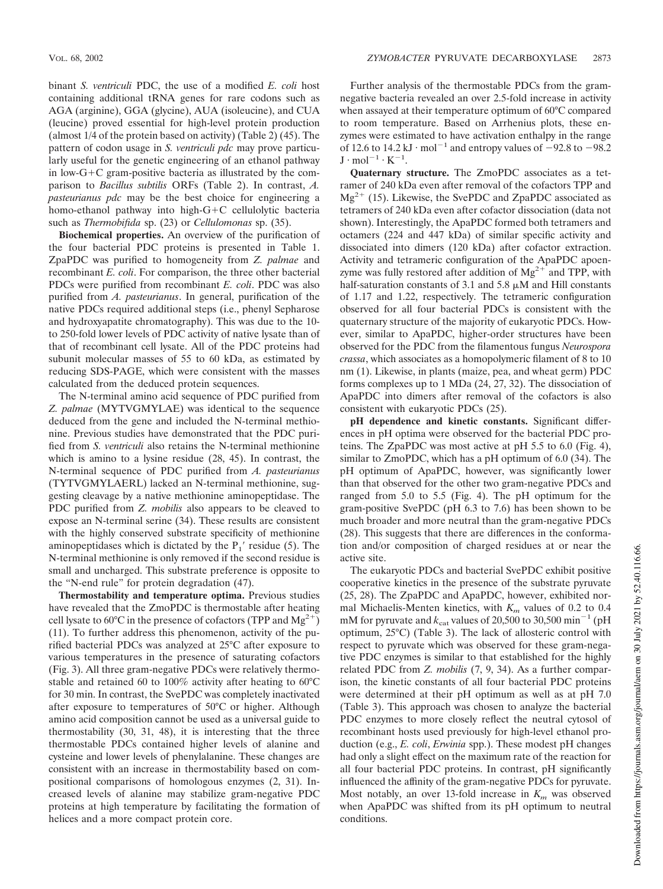binant *S. ventriculi* PDC, the use of a modified *E. coli* host containing additional tRNA genes for rare codons such as AGA (arginine), GGA (glycine), AUA (isoleucine), and CUA (leucine) proved essential for high-level protein production (almost 1/4 of the protein based on activity) (Table 2) (45). The pattern of codon usage in *S. ventriculi pdc* may prove particularly useful for the genetic engineering of an ethanol pathway in low-G+C gram-positive bacteria as illustrated by the comparison to *Bacillus subtilis* ORFs (Table 2). In contrast, *A. pasteurianus pdc* may be the best choice for engineering a homo-ethanol pathway into high- $G+C$  cellulolytic bacteria such as *Thermobifida* sp. (23) or *Cellulomonas* sp. (35).

**Biochemical properties.** An overview of the purification of the four bacterial PDC proteins is presented in Table 1. ZpaPDC was purified to homogeneity from *Z. palmae* and recombinant *E. coli*. For comparison, the three other bacterial PDCs were purified from recombinant *E. coli*. PDC was also purified from *A. pasteurianus*. In general, purification of the native PDCs required additional steps (i.e., phenyl Sepharose and hydroxyapatite chromatography). This was due to the 10 to 250-fold lower levels of PDC activity of native lysate than of that of recombinant cell lysate. All of the PDC proteins had subunit molecular masses of 55 to 60 kDa, as estimated by reducing SDS-PAGE, which were consistent with the masses calculated from the deduced protein sequences.

The N-terminal amino acid sequence of PDC purified from *Z. palmae* (MYTVGMYLAE) was identical to the sequence deduced from the gene and included the N-terminal methionine. Previous studies have demonstrated that the PDC purified from *S. ventriculi* also retains the N-terminal methionine which is amino to a lysine residue (28, 45). In contrast, the N-terminal sequence of PDC purified from *A. pasteurianus* (TYTVGMYLAERL) lacked an N-terminal methionine, suggesting cleavage by a native methionine aminopeptidase. The PDC purified from *Z. mobilis* also appears to be cleaved to expose an N-terminal serine (34). These results are consistent with the highly conserved substrate specificity of methionine aminopeptidases which is dictated by the  $P_1'$  residue (5). The N-terminal methionine is only removed if the second residue is small and uncharged. This substrate preference is opposite to the "N-end rule" for protein degradation (47).

**Thermostability and temperature optima.** Previous studies have revealed that the ZmoPDC is thermostable after heating cell lysate to 60°C in the presence of cofactors (TPP and  $Mg^{2+}$ ) (11). To further address this phenomenon, activity of the purified bacterial PDCs was analyzed at 25°C after exposure to various temperatures in the presence of saturating cofactors (Fig. 3). All three gram-negative PDCs were relatively thermostable and retained 60 to 100% activity after heating to 60°C for 30 min. In contrast, the SvePDC was completely inactivated after exposure to temperatures of 50°C or higher. Although amino acid composition cannot be used as a universal guide to thermostability (30, 31, 48), it is interesting that the three thermostable PDCs contained higher levels of alanine and cysteine and lower levels of phenylalanine. These changes are consistent with an increase in thermostability based on compositional comparisons of homologous enzymes (2, 31). Increased levels of alanine may stabilize gram-negative PDC proteins at high temperature by facilitating the formation of helices and a more compact protein core.

Further analysis of the thermostable PDCs from the gramnegative bacteria revealed an over 2.5-fold increase in activity when assayed at their temperature optimum of 60°C compared to room temperature. Based on Arrhenius plots, these enzymes were estimated to have activation enthalpy in the range of 12.6 to 14.2 kJ  $\cdot$  mol<sup>-1</sup> and entropy values of  $-92.8$  to  $-98.2$  $J \cdot mol^{-1} \cdot K^{-1}$ .

**Quaternary structure.** The ZmoPDC associates as a tetramer of 240 kDa even after removal of the cofactors TPP and  $Mg^{2+}$  (15). Likewise, the SvePDC and ZpaPDC associated as tetramers of 240 kDa even after cofactor dissociation (data not shown). Interestingly, the ApaPDC formed both tetramers and octamers (224 and 447 kDa) of similar specific activity and dissociated into dimers (120 kDa) after cofactor extraction. Activity and tetrameric configuration of the ApaPDC apoenzyme was fully restored after addition of  $Mg^{2+}$  and TPP, with half-saturation constants of 3.1 and 5.8  $\mu$ M and Hill constants of 1.17 and 1.22, respectively. The tetrameric configuration observed for all four bacterial PDCs is consistent with the quaternary structure of the majority of eukaryotic PDCs. However, similar to ApaPDC, higher-order structures have been observed for the PDC from the filamentous fungus *Neurospora crassa*, which associates as a homopolymeric filament of 8 to 10 nm (1). Likewise, in plants (maize, pea, and wheat germ) PDC forms complexes up to 1 MDa (24, 27, 32). The dissociation of ApaPDC into dimers after removal of the cofactors is also consistent with eukaryotic PDCs (25).

**pH dependence and kinetic constants.** Significant differences in pH optima were observed for the bacterial PDC proteins. The ZpaPDC was most active at pH 5.5 to 6.0 (Fig. 4), similar to ZmoPDC, which has a pH optimum of 6.0 (34). The pH optimum of ApaPDC, however, was significantly lower than that observed for the other two gram-negative PDCs and ranged from 5.0 to 5.5 (Fig. 4). The pH optimum for the gram-positive SvePDC (pH 6.3 to 7.6) has been shown to be much broader and more neutral than the gram-negative PDCs (28). This suggests that there are differences in the conformation and/or composition of charged residues at or near the active site.

The eukaryotic PDCs and bacterial SvePDC exhibit positive cooperative kinetics in the presence of the substrate pyruvate (25, 28). The ZpaPDC and ApaPDC, however, exhibited normal Michaelis-Menten kinetics, with *K<sup>m</sup>* values of 0.2 to 0.4 mM for pyruvate and  $k_{\rm cat}$  values of 20,500 to 30,500  $\rm min^{-1}$  (pH optimum, 25°C) (Table 3). The lack of allosteric control with respect to pyruvate which was observed for these gram-negative PDC enzymes is similar to that established for the highly related PDC from *Z. mobilis* (7, 9, 34). As a further comparison, the kinetic constants of all four bacterial PDC proteins were determined at their pH optimum as well as at pH 7.0 (Table 3). This approach was chosen to analyze the bacterial PDC enzymes to more closely reflect the neutral cytosol of recombinant hosts used previously for high-level ethanol production (e.g., *E. coli*, *Erwinia* spp.). These modest pH changes had only a slight effect on the maximum rate of the reaction for all four bacterial PDC proteins. In contrast, pH significantly influenced the affinity of the gram-negative PDCs for pyruvate. Most notably, an over 13-fold increase in *K<sup>m</sup>* was observed when ApaPDC was shifted from its pH optimum to neutral conditions.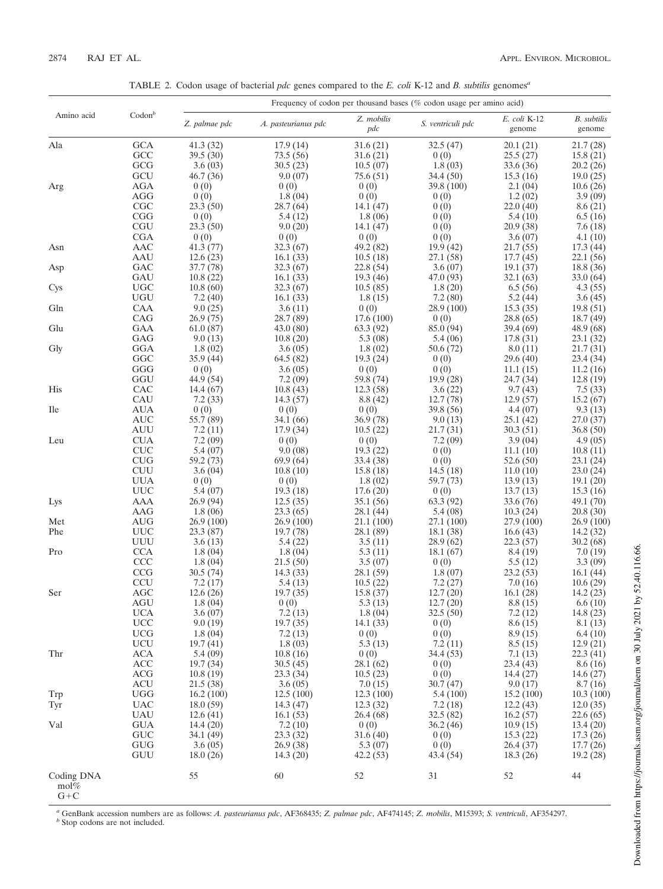TABLE 2. Codon usage of bacterial *pdc* genes compared to the *E. coli* K-12 and *B. subtilis* genomes*<sup>a</sup>*

|                               |                   | Frequency of codon per thousand bases (% codon usage per amino acid) |                      |                                |                       |                        |                              |
|-------------------------------|-------------------|----------------------------------------------------------------------|----------------------|--------------------------------|-----------------------|------------------------|------------------------------|
| Amino acid                    | $\text{Codon}^b$  | Z. palmae pdc                                                        | A. pasteurianus pdc  | Z. mobilis<br>pdc              | S. ventriculi pdc     | E. coli K-12<br>genome | <b>B.</b> subtilis<br>genome |
| Ala                           | GCA               | 41.3 (32)                                                            | 17.9(14)             | 31.6 (21)                      | 32.5 (47)             | 20.1 (21)              | 21.7 (28)                    |
|                               | GCC               | 39.5 (30)                                                            | 73.5(56)             | 31.6 (21)                      | 0(0)                  | 25.5(27)               | 15.8 (21)                    |
|                               | GCG               | 3.6(03)                                                              | 30.5(23)             | 10.5(07)                       | 1.8(03)               | 33.6 (36)              | 20.2 (26)                    |
|                               | GCU               | 46.7 (36)                                                            | 9.0(07)              | 75.6 (51)                      | 34.4 (50)             | 15.3(16)               | 19.0(25)                     |
| Arg                           | AGA               | 0(0)                                                                 | 0(0)                 | 0(0)                           | 39.8 (100)            | 2.1(04)                | 10.6(26)                     |
|                               | AGG               | 0(0)                                                                 | 1.8(04)              | 0(0)                           | 0(0)                  | 1.2(02)                | 3.9(09)                      |
|                               | CGC               | 23.3(50)                                                             | 28.7 (64)            | 14.1 (47)                      | 0(0)                  | 22.0(40)               | 8.6 (21)                     |
|                               | CGG               | 0(0)                                                                 | 5.4 (12)             | 1.8(06)                        | 0(0)                  | 5.4(10)                | 6.5(16)                      |
|                               | <b>CGU</b>        | 23.3 (50)                                                            | 9.0(20)              | 14.1 (47)                      | 0(0)                  | 20.9(38)               | 7.6(18)                      |
|                               | <b>CGA</b>        | 0(0)                                                                 | 0(0)                 | 0(0)                           | 0(0)                  | 3.6(07)                | 4.1(10)                      |
| Asn                           | AAC               | 41.3 (77)                                                            | 32.3 (67)            | 49.2 (82)                      | 19.9(42)              | 21.7(55)               | 17.3(44)                     |
|                               | AAU               | 12.6(23)                                                             | 16.1(33)             | 10.5(18)                       | 27.1 (58)             | 17.7(45)               | 22.1 (56)                    |
| Asp                           | GAC               | 37.7 (78)                                                            | 32.3(67)             | 22.8 (54)                      | 3.6(07)               | 19.1(37)               | 18.8 (36)                    |
|                               | GAU<br>UGC        | 10.8(22)<br>10.8(60)                                                 | 16.1(33)<br>32.3(67) | 19.3 (46)                      | 47.0 (93)             | 32.1 (63)              | 33.0 (64)                    |
| Cys                           | UGU               | 7.2(40)                                                              |                      | 10.5(85)                       | 1.8(20)               | 6.5(56)                | 4.3(55)                      |
| Gln                           | CAA               | 9.0(25)                                                              | 16.1(33)<br>3.6(11)  | 1.8(15)<br>0(0)                | 7.2(80)<br>28.9 (100) | 5.2(44)<br>15.3(35)    | 3.6(45)<br>19.8(51)          |
|                               | CAG               | 26.9(75)                                                             | 28.7(89)             | 17.6(100)                      | 0(0)                  | 28.8 (65)              | 18.7 (49)                    |
| Glu                           | GAA               | 61.0(87)                                                             | 43.0(80)             | 63.3 (92)                      | 85.0 (94)             | 39.4 (69)              | 48.9 (68)                    |
|                               | GAG               | 9.0(13)                                                              | 10.8(20)             | 5.3(08)                        | 5.4(06)               | 17.8 (31)              | 23.1 (32)                    |
| Gly                           | GGA               | 1.8(02)                                                              | 3.6(05)              | 1.8(02)                        | 50.6 (72)             | 8.0(11)                | 21.7 (31)                    |
|                               | GGC               | 35.9 (44)                                                            | 64.5 (82)            | 19.3(24)                       | 0(0)                  | 29.6 (40)              | 23.4 (34)                    |
|                               | GGG               | 0(0)                                                                 | 3.6(05)              | 0(0)                           | 0(0)                  | 11.1(15)               | 11.2(16)                     |
|                               | GGU               | 44.9 (54)                                                            | 7.2(09)              | 59.8 (74)                      | 19.9(28)              | 24.7 (34)              | 12.8(19)                     |
| His                           | CAC               | 14.4 (67)                                                            | 10.8(43)             | 12.3(58)                       | 3.6(22)               | 9.7(43)                | 7.5(33)                      |
|                               | CAU               | 7.2(33)                                                              | 14.3(57)             | 8.8 (42)                       | 12.7(78)              | 12.9(57)               | 15.2(67)                     |
| <b>Ile</b>                    | AUA               | 0(0)                                                                 | 0(0)                 | 0(0)                           | 39.8 (56)             | 4.4(07)                | 9.3(13)                      |
|                               | AUC               | 55.7 (89)                                                            | 34.1 (66)            | 36.9(78)                       | 9.0(13)               | 25.1(42)               | 27.0 (37)                    |
|                               | <b>AUU</b>        | 7.2(11)                                                              | 17.9(34)             | 10.5(22)                       | 21.7 (31)             | 30.3(51)               | 36.8(50)                     |
| Leu                           | <b>CUA</b>        | 7.2(09)                                                              | 0(0)                 | 0(0)                           | 7.2(09)               | 3.9(04)                | 4.9(05)                      |
|                               | <b>CUC</b>        | 5.4(07)                                                              | 9.0(08)              | 19.3(22)                       | 0(0)                  | 11.1(10)               | 10.8(11)                     |
|                               | CUG               | 59.2 (73)                                                            | 69.9 (64)            | 33.4 (38)                      | 0(0)                  | 52.6 (50)              | 23.1 (24)                    |
|                               | <b>CUU</b>        | 3.6(04)                                                              | 10.8(10)             | 15.8 (18)                      | 14.5(18)              | 11.0(10)               | 23.0 (24)                    |
|                               | UUA               | 0(0)                                                                 | 0(0)                 | 1.8(02)                        | 59.7 (73)             | 13.9(13)               | 19.1(20)                     |
|                               | <b>UUC</b>        | 5.4(07)                                                              | 19.3(18)             | 17.6(20)                       | 0(0)                  | 13.7(13)               | 15.3(16)                     |
| Lys                           | AAA               | 26.9 (94)                                                            | 12.5(35)             | 35.1 (56)                      | 63.3 (92)             | 33.6 (76)              | 49.1 (70)                    |
|                               | AAG               | 1.8(06)                                                              | 23.3(65)             | 28.1 (44)                      | 5.4(08)               | 10.3(24)               | 20.8 (30)                    |
| Met                           | AUG               | 26.9 (100)                                                           | 26.9 (100)           | 21.1 (100)                     | 27.1 (100)            | 27.9 (100)             | 26.9 (100)                   |
| Phe                           | <b>UUC</b>        | 23.3(87)                                                             | 19.7 (78)            | 28.1 (89)                      | 18.1 (38)             | 16.6(43)               | 14.2 (32)                    |
| Pro                           | UUU<br><b>CCA</b> | 3.6(13)                                                              | 5.4 (22)             | 3.5(11)                        | 28.9 (62)             | 22.3 (57)              | 30.2 (68)                    |
|                               | <b>CCC</b>        | 1.8(04)<br>1.8(04)                                                   | 1.8(04)<br>21.5(50)  | 5.3(11)<br>3.5(07)             | 18.1(67)<br>0(0)      | 8.4 (19)<br>5.5(12)    | 7.0(19)<br>3.3(09)           |
|                               | <b>CCG</b>        | 30.5(74)                                                             | 14.3(33)             | 28.1 (59)                      | 1.8(07)               | 23.2(53)               | 16.1(44)                     |
|                               | <b>CCU</b>        | 7.2(17)                                                              |                      | 5.4(13)<br>10.5(22)<br>7.2(27) | 7.0(16)               | 10.6(29)               |                              |
| Ser                           | <b>AGC</b>        | 12.6(26)                                                             | 19.7 (35)            | 15.8(37)                       | 12.7(20)              | 16.1(28)               | 14.2(23)                     |
|                               | AGU               | 1.8(04)                                                              | 0(0)                 | 5.3(13)                        | 12.7(20)              | 8.8(15)                | 6.6(10)                      |
|                               | <b>UCA</b>        | 3.6(07)                                                              | 7.2(13)              | 1.8(04)                        | 32.5(50)              | 7.2(12)                | 14.8(23)                     |
|                               | <b>UCC</b>        | 9.0(19)                                                              | 19.7(35)             | 14.1 (33)                      | 0(0)                  | 8.6(15)                | 8.1(13)                      |
|                               | UCG               | 1.8(04)                                                              | 7.2(13)              | 0(0)                           | 0(0)                  | 8.9(15)                | 6.4(10)                      |
|                               | UCU               | 19.7(41)                                                             | 1.8(03)              | 5.3(13)                        | 7.2(11)               | 8.5(15)                | 12.9(21)                     |
| Thr                           | ACA               | 5.4(09)                                                              | 10.8(16)             | 0(0)                           | 34.4 (53)             | 7.1(13)                | 22.3(41)                     |
|                               | ACC               | 19.7(34)                                                             | 30.5(45)             | 28.1(62)                       | 0(0)                  | 23.4(43)               | 8.6(16)                      |
|                               | <b>ACG</b>        | 10.8(19)                                                             | 23.3(34)             | 10.5(23)                       | 0(0)                  | 14.4(27)               | 14.6(27)                     |
|                               | ACU               | 21.5(38)                                                             | 3.6(05)              | 7.0(15)                        | 30.7(47)              | 9.0(17)                | 8.7(16)                      |
| Trp                           | <b>UGG</b>        | 16.2(100)                                                            | 12.5(100)            | 12.3(100)                      | 5.4(100)              | 15.2(100)              | 10.3(100)                    |
| Tyr                           | <b>UAC</b>        | 18.0(59)                                                             | 14.3(47)             | 12.3(32)                       | 7.2(18)               | 12.2(43)               | 12.0(35)                     |
|                               | <b>UAU</b>        | 12.6(41)                                                             | 16.1(53)             | 26.4 (68)                      | 32.5(82)              | 16.2(57)               | 22.6(65)                     |
| Val                           | GUA               | 14.4(20)                                                             | 7.2(10)              | 0(0)                           | 36.2(46)              | 10.9(15)               | 13.4(20)                     |
|                               | <b>GUC</b>        | 34.1(49)                                                             | 23.3(32)             | 31.6(40)                       | 0(0)                  | 15.3(22)               | 17.3(26)                     |
|                               | <b>GUG</b>        | 3.6(05)                                                              | 26.9(38)             | 5.3(07)                        | 0(0)                  | 26.4(37)               | 17.7(26)                     |
|                               | GUU               | 18.0(26)                                                             | 14.3(20)             | 42.2(53)                       | 43.4 (54)             | 18.3(26)               | 19.2(28)                     |
| Coding DNA<br>mol%<br>$G + C$ |                   | 55                                                                   | 60                   | 52                             | 31                    | 52                     | 44                           |

*<sup>a</sup>* GenBank accession numbers are as follows: *A. pasteurianus pdc*, AF368435; *Z. palmae pdc*, AF474145; *Z. mobilis*, M15393; *S. ventriculi*, AF354297. *b* Stop codons are not included.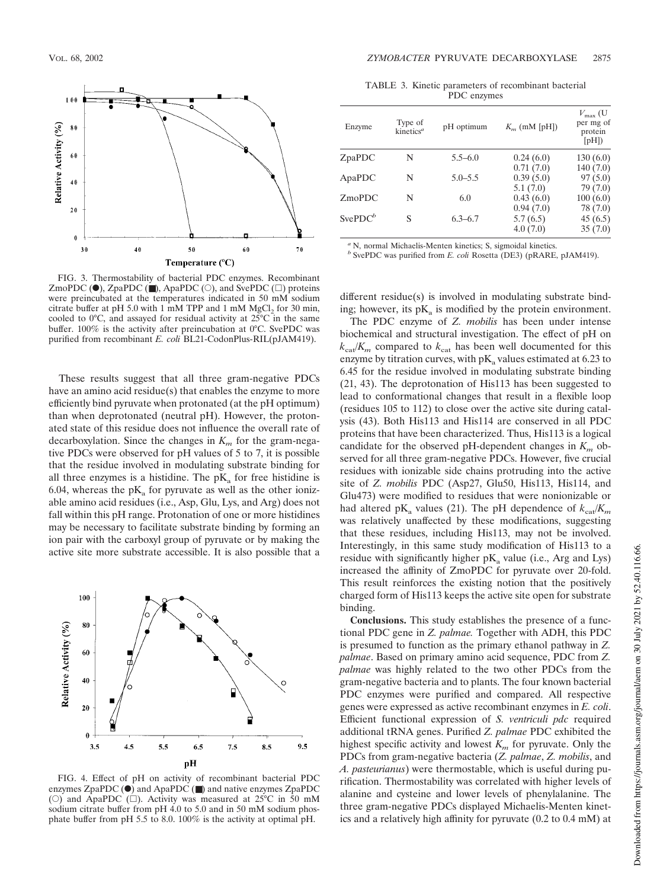

FIG. 3. Thermostability of bacterial PDC enzymes. Recombinant ZmoPDC ( $\bullet$ ), ZpaPDC ( $\bullet$ ), ApaPDC ( $\circ$ ), and SvePDC ( $\Box$ ) proteins were preincubated at the temperatures indicated in 50 mM sodium citrate buffer at pH 5.0 with 1 mM TPP and 1 mM  $MgCl<sub>2</sub>$  for 30 min, cooled to 0°C, and assayed for residual activity at 25°C in the same buffer. 100% is the activity after preincubation at 0°C. SvePDC was purified from recombinant *E. coli* BL21-CodonPlus-RIL(pJAM419).

These results suggest that all three gram-negative PDCs have an amino acid residue(s) that enables the enzyme to more efficiently bind pyruvate when protonated (at the pH optimum) than when deprotonated (neutral pH). However, the protonated state of this residue does not influence the overall rate of decarboxylation. Since the changes in *K<sup>m</sup>* for the gram-negative PDCs were observed for pH values of 5 to 7, it is possible that the residue involved in modulating substrate binding for all three enzymes is a histidine. The  $pK_a$  for free histidine is 6.04, whereas the  $pK_a$  for pyruvate as well as the other ionizable amino acid residues (i.e., Asp, Glu, Lys, and Arg) does not fall within this pH range. Protonation of one or more histidines may be necessary to facilitate substrate binding by forming an ion pair with the carboxyl group of pyruvate or by making the active site more substrate accessible. It is also possible that a



FIG. 4. Effect of pH on activity of recombinant bacterial PDC enzymes ZpaPDC  $\overrightarrow{(\bullet)}$  and ApaPDC  $\overrightarrow{(\bullet)}$  and native enzymes ZpaPDC (O) and ApaPDC ( $\square$ ). Activity was measured at 25°C in 50 mM sodium citrate buffer from pH 4.0 to 5.0 and in 50 mM sodium phosphate buffer from pH 5.5 to 8.0. 100% is the activity at optimal pH.

TABLE 3. Kinetic parameters of recombinant bacterial PDC enzymes

| Enzyme     | Type of<br>kinetics <sup>a</sup> | pH optimum  | $K_m$ (mM [pH]) | $V_{\text{max}}$ (U<br>per mg of<br>protein<br>[ <i>pH</i> ]) |
|------------|----------------------------------|-------------|-----------------|---------------------------------------------------------------|
| ZpaPDC     | N                                | $5.5 - 6.0$ | 0.24(6.0)       | 130(6.0)                                                      |
|            |                                  |             | 0.71(7.0)       | 140(7.0)                                                      |
| ApaPDC     | N                                | $5.0 - 5.5$ | 0.39(5.0)       | 97(5.0)                                                       |
|            |                                  |             | 5.1(7.0)        | 79 (7.0)                                                      |
| ZmoPDC     | N                                | 6.0         | 0.43(6.0)       | 100(6.0)                                                      |
|            |                                  |             | 0.94(7.0)       | 78 (7.0)                                                      |
| $SvePDC^b$ | S                                | $6.3 - 6.7$ | 5.7(6.5)        | 45(6.5)                                                       |
|            |                                  |             | 4.0(7.0)        | 35(7.0)                                                       |
|            |                                  |             |                 |                                                               |

*<sup>a</sup>* N, normal Michaelis-Menten kinetics; S, sigmoidal kinetics.

*b* SvePDC was purified from *E. coli* Rosetta (DE3) (pRARE, pJAM419).

different residue(s) is involved in modulating substrate binding; however, its  $pK_a$  is modified by the protein environment.

The PDC enzyme of *Z. mobilis* has been under intense biochemical and structural investigation. The effect of pH on  $k_{\text{cat}}/K_m$  compared to  $k_{\text{cat}}$  has been well documented for this enzyme by titration curves, with  $\rm pK_a$  values estimated at 6.23 to 6.45 for the residue involved in modulating substrate binding (21, 43). The deprotonation of His113 has been suggested to lead to conformational changes that result in a flexible loop (residues 105 to 112) to close over the active site during catalysis (43). Both His113 and His114 are conserved in all PDC proteins that have been characterized. Thus, His113 is a logical candidate for the observed pH-dependent changes in  $K<sub>m</sub>$  observed for all three gram-negative PDCs. However, five crucial residues with ionizable side chains protruding into the active site of *Z. mobilis* PDC (Asp27, Glu50, His113, His114, and Glu473) were modified to residues that were nonionizable or had altered  $pK_a$  values (21). The pH dependence of  $k_{cat}/K_m$ was relatively unaffected by these modifications, suggesting that these residues, including His113, may not be involved. Interestingly, in this same study modification of His113 to a residue with significantly higher  $pK_a$  value (i.e., Arg and Lys) increased the affinity of ZmoPDC for pyruvate over 20-fold. This result reinforces the existing notion that the positively charged form of His113 keeps the active site open for substrate binding.

**Conclusions.** This study establishes the presence of a functional PDC gene in *Z. palmae.* Together with ADH, this PDC is presumed to function as the primary ethanol pathway in *Z. palmae*. Based on primary amino acid sequence, PDC from *Z. palmae* was highly related to the two other PDCs from the gram-negative bacteria and to plants. The four known bacterial PDC enzymes were purified and compared. All respective genes were expressed as active recombinant enzymes in *E. coli*. Efficient functional expression of *S. ventriculi pdc* required additional tRNA genes. Purified *Z. palmae* PDC exhibited the highest specific activity and lowest  $K_m$  for pyruvate. Only the PDCs from gram-negative bacteria (*Z. palmae*, *Z. mobilis*, and *A. pasteurianus*) were thermostable, which is useful during purification. Thermostability was correlated with higher levels of alanine and cysteine and lower levels of phenylalanine. The three gram-negative PDCs displayed Michaelis-Menten kinetics and a relatively high affinity for pyruvate (0.2 to 0.4 mM) at